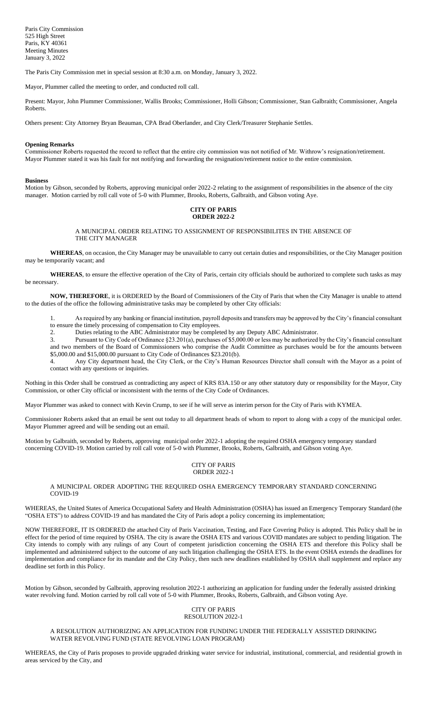The Paris City Commission met in special session at 8:30 a.m. on Monday, January 3, 2022.

Mayor, Plummer called the meeting to order, and conducted roll call.

Present: Mayor, John Plummer Commissioner, Wallis Brooks; Commissioner, Holli Gibson; Commissioner, Stan Galbraith; Commissioner, Angela Roberts.

Others present: City Attorney Bryan Beauman, CPA Brad Oberlander, and City Clerk/Treasurer Stephanie Settles.

#### **Opening Remarks**

Commissioner Roberts requested the record to reflect that the entire city commission was not notified of Mr. Withrow's resignation/retirement. Mayor Plummer stated it was his fault for not notifying and forwarding the resignation/retirement notice to the entire commission.

#### **Business**

Motion by Gibson, seconded by Roberts, approving municipal order 2022-2 relating to the assignment of responsibilities in the absence of the city manager. Motion carried by roll call vote of 5-0 with Plummer, Brooks, Roberts, Galbraith, and Gibson voting Aye.

## **CITY OF PARIS ORDER 2022-2**

A MUNICIPAL ORDER RELATING TO ASSIGNMENT OF RESPONSIBILITES IN THE ABSENCE OF THE CITY MANAGER

**WHEREAS**, on occasion, the City Manager may be unavailable to carry out certain duties and responsibilities, or the City Manager position may be temporarily vacant; and

**WHEREAS**, to ensure the effective operation of the City of Paris, certain city officials should be authorized to complete such tasks as may be necessary.

**NOW, THEREFORE**, it is ORDERED by the Board of Commissioners of the City of Paris that when the City Manager is unable to attend to the duties of the office the following administrative tasks may be completed by other City officials:

1. As required by any banking or financial institution, payroll deposits and transfers may be approved by the City's financial consultant to ensure the timely processing of compensation to City employees.

2. Duties relating to the ABC Administrator may be completed by any Deputy ABC Administrator.

3. Pursuant to City Code of Ordinance §23.201(a), purchases of \$5,000.00 or less may be authorized by the City's financial consultant and two members of the Board of Commissioners who comprise the Audit Committee as purchases would be for the amounts between \$5,000.00 and \$15,000.00 pursuant to City Code of Ordinances \$23.201(b).

4. Any City department head, the City Clerk, or the City's Human Resources Director shall consult with the Mayor as a point of contact with any questions or inquiries.

Nothing in this Order shall be construed as contradicting any aspect of KRS 83A.150 or any other statutory duty or responsibility for the Mayor, City Commission, or other City official or inconsistent with the terms of the City Code of Ordinances.

Mayor Plummer was asked to connect with Kevin Crump, to see if he will serve as interim person for the City of Paris with KYMEA.

Commissioner Roberts asked that an email be sent out today to all department heads of whom to report to along with a copy of the municipal order. Mayor Plummer agreed and will be sending out an email.

Motion by Galbraith, seconded by Roberts, approving municipal order 2022-1 adopting the required OSHA emergency temporary standard concerning COVID-19. Motion carried by roll call vote of 5-0 with Plummer, Brooks, Roberts, Galbraith, and Gibson voting Aye.

### CITY OF PARIS ORDER 2022-1

# A MUNICIPAL ORDER ADOPTING THE REQUIRED OSHA EMERGENCY TEMPORARY STANDARD CONCERNING COVID-19

WHEREAS, the United States of America Occupational Safety and Health Administration (OSHA) has issued an Emergency Temporary Standard (the "OSHA ETS") to address COVID-19 and has mandated the City of Paris adopt a policy concerning its implementation;

NOW THEREFORE, IT IS ORDERED the attached City of Paris Vaccination, Testing, and Face Covering Policy is adopted. This Policy shall be in effect for the period of time required by OSHA. The city is aware the OSHA ETS and various COVID mandates are subject to pending litigation. The City intends to comply with any rulings of any Court of competent jurisdiction concerning the OSHA ETS and therefore this Policy shall be implemented and administered subject to the outcome of any such litigation challenging the OSHA ETS. In the event OSHA extends the deadlines for implementation and compliance for its mandate and the City Policy, then such new deadlines established by OSHA shall supplement and replace any deadline set forth in this Policy.

Motion by Gibson, seconded by Galbraith, approving resolution 2022-1 authorizing an application for funding under the federally assisted drinking water revolving fund. Motion carried by roll call vote of 5-0 with Plummer, Brooks, Roberts, Galbraith, and Gibson voting Aye.

## CITY OF PARIS RESOLUTION 2022-1

# A RESOLUTION AUTHORIZING AN APPLICATION FOR FUNDING UNDER THE FEDERALLY ASSISTED DRINKING WATER REVOLVING FUND (STATE REVOLVING LOAN PROGRAM)

WHEREAS, the City of Paris proposes to provide upgraded drinking water service for industrial, institutional, commercial, and residential growth in areas serviced by the City, and